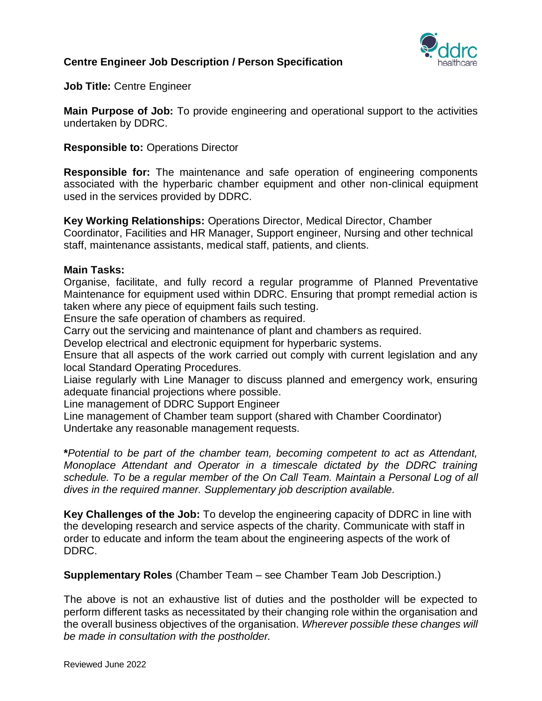

**Job Title:** Centre Engineer

**Main Purpose of Job:** To provide engineering and operational support to the activities undertaken by DDRC.

**Responsible to:** Operations Director

**Responsible for:** The maintenance and safe operation of engineering components associated with the hyperbaric chamber equipment and other non-clinical equipment used in the services provided by DDRC.

**Key Working Relationships:** Operations Director, Medical Director, Chamber Coordinator, Facilities and HR Manager, Support engineer, Nursing and other technical staff, maintenance assistants, medical staff, patients, and clients.

#### **Main Tasks:**

Organise, facilitate, and fully record a regular programme of Planned Preventative Maintenance for equipment used within DDRC. Ensuring that prompt remedial action is taken where any piece of equipment fails such testing.

Ensure the safe operation of chambers as required.

Carry out the servicing and maintenance of plant and chambers as required.

Develop electrical and electronic equipment for hyperbaric systems.

Ensure that all aspects of the work carried out comply with current legislation and any local Standard Operating Procedures.

Liaise regularly with Line Manager to discuss planned and emergency work, ensuring adequate financial projections where possible.

Line management of DDRC Support Engineer

Line management of Chamber team support (shared with Chamber Coordinator) Undertake any reasonable management requests.

**\****Potential to be part of the chamber team, becoming competent to act as Attendant, Monoplace Attendant and Operator in a timescale dictated by the DDRC training schedule. To be a regular member of the On Call Team. Maintain a Personal Log of all dives in the required manner. Supplementary job description available.*

**Key Challenges of the Job:** To develop the engineering capacity of DDRC in line with the developing research and service aspects of the charity. Communicate with staff in order to educate and inform the team about the engineering aspects of the work of DDRC.

**Supplementary Roles** (Chamber Team – see Chamber Team Job Description.)

The above is not an exhaustive list of duties and the postholder will be expected to perform different tasks as necessitated by their changing role within the organisation and the overall business objectives of the organisation. *Wherever possible these changes will be made in consultation with the postholder.*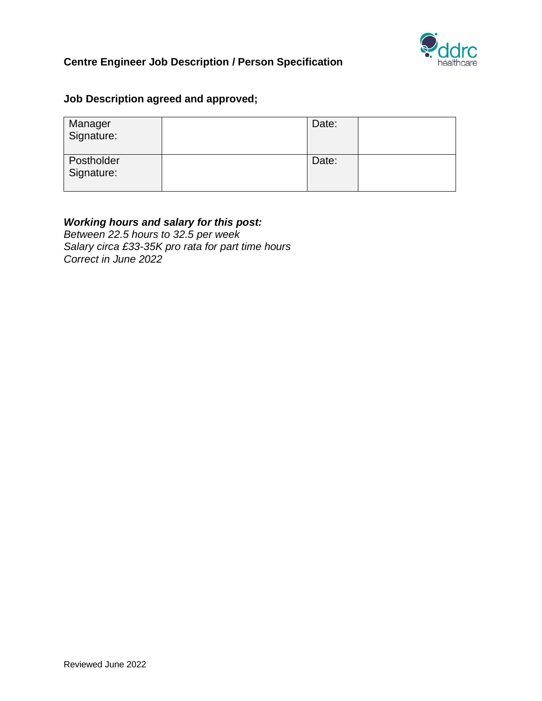

# **Job Description agreed and approved;**

| Manager<br>Signature:    | Date: |  |
|--------------------------|-------|--|
| Postholder<br>Signature: | Date: |  |

## *Working hours and salary for this post:*

*Between 22.5 hours to 32.5 per week Salary circa £33-35K pro rata for part time hours Correct in June 2022*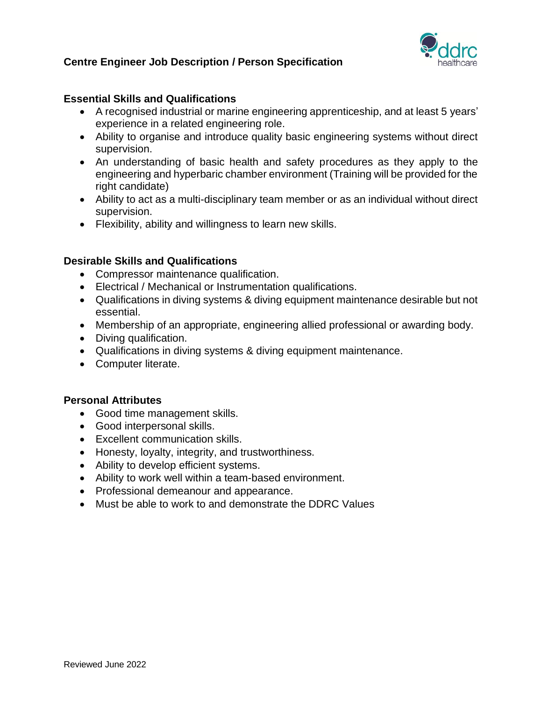

## **Essential Skills and Qualifications**

- A recognised industrial or marine engineering apprenticeship, and at least 5 years' experience in a related engineering role.
- Ability to organise and introduce quality basic engineering systems without direct supervision.
- An understanding of basic health and safety procedures as they apply to the engineering and hyperbaric chamber environment (Training will be provided for the right candidate)
- Ability to act as a multi-disciplinary team member or as an individual without direct supervision.
- Flexibility, ability and willingness to learn new skills.

## **Desirable Skills and Qualifications**

- Compressor maintenance qualification.
- Electrical / Mechanical or Instrumentation qualifications.
- Qualifications in diving systems & diving equipment maintenance desirable but not essential.
- Membership of an appropriate, engineering allied professional or awarding body.
- Diving qualification.
- Qualifications in diving systems & diving equipment maintenance.
- Computer literate.

#### **Personal Attributes**

- Good time management skills.
- Good interpersonal skills.
- Excellent communication skills.
- Honesty, loyalty, integrity, and trustworthiness.
- Ability to develop efficient systems.
- Ability to work well within a team-based environment.
- Professional demeanour and appearance.
- Must be able to work to and demonstrate the DDRC Values